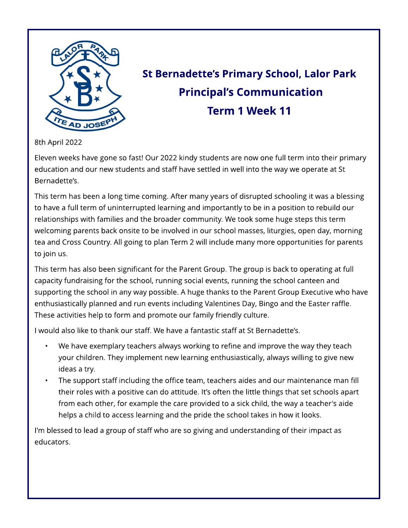

# St Bernadette's Primary School, Lalor Park **Principal's Communication** Term 1 Week 11

#### 8th April 2022

Eleven weeks have gone so fast! Our 2022 kindy students are now one full term into their primary education and our new students and staff have settled in well into the way we operate at St Bernadette?s.

This term has been a long time coming. After many years of disrupted schooling it was a blessing to have a full term of uninterrupted learning and importantly to be in a position to rebuild our relationships with families and the broader community. We took some huge steps this term welcoming parents back onsite to be involved in our school masses, liturgies, open day, morning tea and Cross Country. All going to plan Term 2 will include many more opportunities for parents to join us.

This term has also been significant for the Parent Group. The group is back to operating at full capacity fundraising for the school, running social events, running the school canteen and supporting the school in any way possible. A huge thanks to the Parent Group Executive who have enthusiastically planned and run events including Valentines Day, Bingo and the Easter raffle. These activities help to form and promote our family friendly culture.

I would also like to thank our staff. We have a fantastic staff at St Bernadette's.

- We have exemplary teachers always working to refine and improve the way they teach your children. They implement new learning enthusiastically, always willing to give new ideas a try.
- The support staff including the office team, teachers aides and our maintenance man fill their roles with a positive can do attitude. It's often the little things that set schools apart from each other, for example the care provided to a sick child, the way a teacher's aide helps a child to access learning and the pride the school takes in how it looks.

I'm blessed to lead a group of staff who are so giving and understanding of their impact as educators.